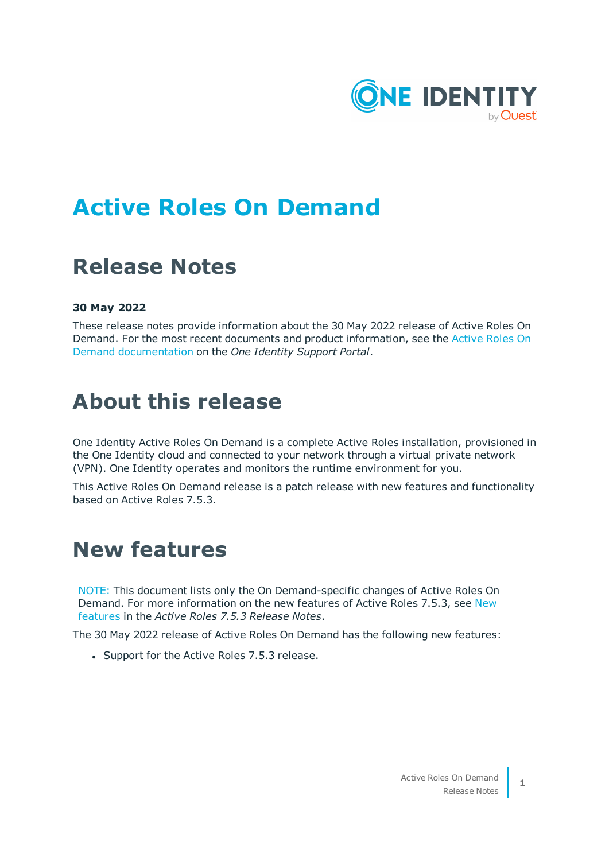

# **Active Roles On Demand**

# **Release Notes**

### **30 May 2022**

These release notes provide information about the 30 May 2022 release of Active Roles On Demand. For the most recent documents and product information, see the [Active](https://support.oneidentity.com/active-roles-on-demand/hosted/technical-documents) Roles On Demand [documentation](https://support.oneidentity.com/active-roles-on-demand/hosted/technical-documents) on the *One Identity Support Portal*.

## **About this release**

One Identity Active Roles On Demand is a complete Active Roles installation, provisioned in the One Identity cloud and connected to your network through a virtual private network (VPN). One Identity operates and monitors the runtime environment for you.

This Active Roles On Demand release is a patch release with new features and functionality based on Active Roles 7.5.3.

## **New features**

NOTE: This document lists only the On Demand-specific changes of Active Roles On Demand. For more information on the new features of Active Roles 7.5.3, see [New](http://support.oneidentity.com/technical-documents/active-roles/7.4.5/release-notes/one-identity-active-roles-7-4-5/new-features) [features](http://support.oneidentity.com/technical-documents/active-roles/7.4.5/release-notes/one-identity-active-roles-7-4-5/new-features) in the *Active Roles 7.5.3 Release Notes*.

The 30 May 2022 release of Active Roles On Demand has the following new features:

• Support for the Active Roles 7.5.3 release.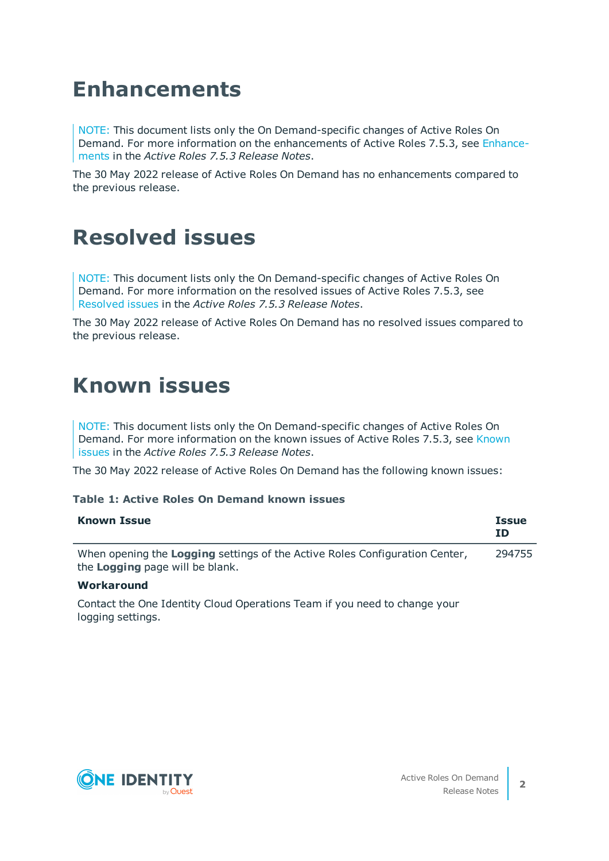# **Enhancements**

NOTE: This document lists only the On Demand-specific changes of Active Roles On Demand. For more information on the enhancements of Active Roles 7.5.3, see [Enhance](http://support.oneidentity.com/technical-documents/active-roles/7.4.5/release-notes/one-identity-active-roles-7-4-5/enhancements)[ments](http://support.oneidentity.com/technical-documents/active-roles/7.4.5/release-notes/one-identity-active-roles-7-4-5/enhancements) in the *Active Roles 7.5.3 Release Notes*.

The 30 May 2022 release of Active Roles On Demand has no enhancements compared to the previous release.

# **Resolved issues**

NOTE: This document lists only the On Demand-specific changes of Active Roles On Demand. For more information on the resolved issues of Active Roles 7.5.3, see [Resolved](http://support.oneidentity.com/technical-documents/active-roles/7.4.5/release-notes/one-identity-active-roles-7-4-5/resolved-issues) issues in the *Active Roles 7.5.3 Release Notes*.

The 30 May 2022 release of Active Roles On Demand has no resolved issues compared to the previous release.

## **Known issues**

NOTE: This document lists only the On Demand-specific changes of Active Roles On Demand. For more information on the known issues of Active Roles 7.5.3, see [Known](http://support.oneidentity.com/technical-documents/active-roles/7.4.5/release-notes/one-identity-active-roles-7-4-5/known-issues) [issues](http://support.oneidentity.com/technical-documents/active-roles/7.4.5/release-notes/one-identity-active-roles-7-4-5/known-issues) in the *Active Roles 7.5.3 Release Notes*.

The 30 May 2022 release of Active Roles On Demand has the following known issues:

#### **Table 1: Active Roles On Demand known issues**

| <b>Known Issue</b>                                                                                                    | <b>Issue</b><br>ΙD |
|-----------------------------------------------------------------------------------------------------------------------|--------------------|
| When opening the <b>Logging</b> settings of the Active Roles Configuration Center,<br>the Logging page will be blank. | 294755             |
|                                                                                                                       |                    |

#### **Workaround**

Contact the One Identity Cloud Operations Team if you need to change your logging settings.

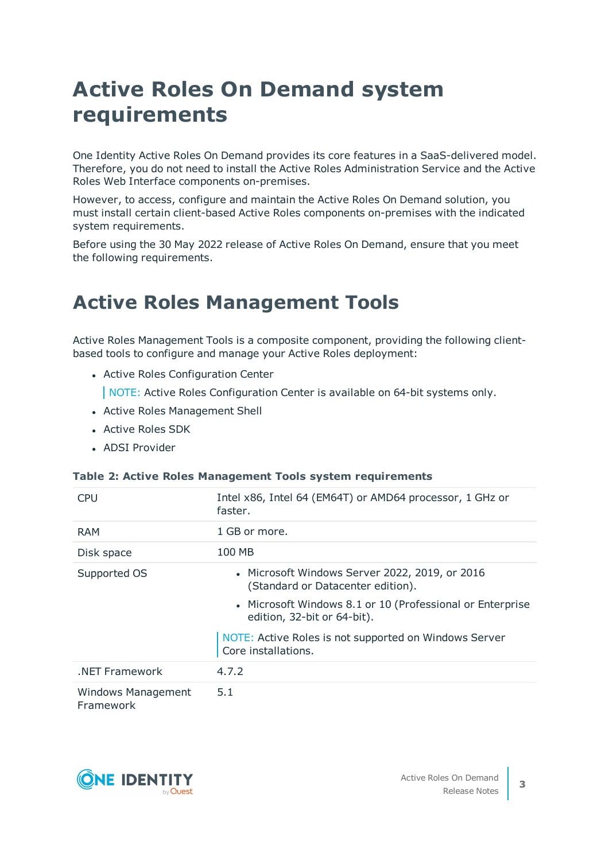# **Active Roles On Demand system requirements**

One Identity Active Roles On Demand provides its core features in a SaaS-delivered model. Therefore, you do not need to install the Active Roles Administration Service and the Active Roles Web Interface components on-premises.

However, to access, configure and maintain the Active Roles On Demand solution, you must install certain client-based Active Roles components on-premises with the indicated system requirements.

Before using the 30 May 2022 release of Active Roles On Demand, ensure that you meet the following requirements.

## **Active Roles Management Tools**

Active Roles Management Tools is a composite component, providing the following clientbased tools to configure and manage your Active Roles deployment:

- Active Roles Configuration Center
	- NOTE: Active Roles Configuration Center is available on 64-bit systems only.
- Active Roles Management Shell
- Active Roles SDK
- ADSI Provider

#### **Table 2: Active Roles Management Tools system requirements**

| <b>CPU</b>                             | Intel x86, Intel 64 (EM64T) or AMD64 processor, 1 GHz or<br>faster.                      |
|----------------------------------------|------------------------------------------------------------------------------------------|
| <b>RAM</b>                             | 1 GB or more.                                                                            |
| Disk space                             | 100 MB                                                                                   |
| Supported OS                           | • Microsoft Windows Server 2022, 2019, or 2016<br>(Standard or Datacenter edition).      |
|                                        | • Microsoft Windows 8.1 or 10 (Professional or Enterprise<br>edition, 32-bit or 64-bit). |
|                                        | NOTE: Active Roles is not supported on Windows Server<br>Core installations.             |
| NET Framework                          | 4.7.2                                                                                    |
| <b>Windows Management</b><br>Framework | 5.1                                                                                      |

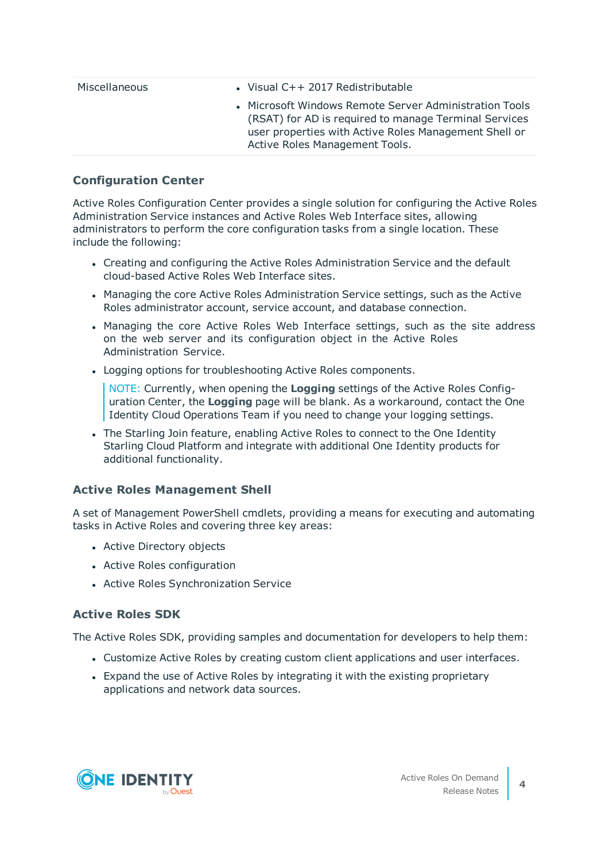| Miscellaneous | • Visual $C++ 2017$ Redistributable                                                                                                                                                                        |
|---------------|------------------------------------------------------------------------------------------------------------------------------------------------------------------------------------------------------------|
|               | • Microsoft Windows Remote Server Administration Tools<br>(RSAT) for AD is required to manage Terminal Services<br>user properties with Active Roles Management Shell or<br>Active Roles Management Tools. |

### **Configuration Center**

Active Roles Configuration Center provides a single solution for configuring the Active Roles Administration Service instances and Active Roles Web Interface sites, allowing administrators to perform the core configuration tasks from a single location. These include the following:

- Creating and configuring the Active Roles Administration Service and the default cloud-based Active Roles Web Interface sites.
- Managing the core Active Roles Administration Service settings, such as the Active Roles administrator account, service account, and database connection.
- Managing the core Active Roles Web Interface settings, such as the site address on the web server and its configuration object in the Active Roles Administration Service.
- Logging options for troubleshooting Active Roles components.

NOTE: Currently, when opening the **Logging** settings of the Active Roles Configuration Center, the **Logging** page will be blank. As a workaround, contact the One Identity Cloud Operations Team if you need to change your logging settings.

• The Starling Join feature, enabling Active Roles to connect to the One Identity Starling Cloud Platform and integrate with additional One Identity products for additional functionality.

### **Active Roles Management Shell**

A set of Management PowerShell cmdlets, providing a means for executing and automating tasks in Active Roles and covering three key areas:

- Active Directory objects
- Active Roles configuration
- Active Roles Synchronization Service

### **Active Roles SDK**

The Active Roles SDK, providing samples and documentation for developers to help them:

- Customize Active Roles by creating custom client applications and user interfaces.
- Expand the use of Active Roles by integrating it with the existing proprietary applications and network data sources.

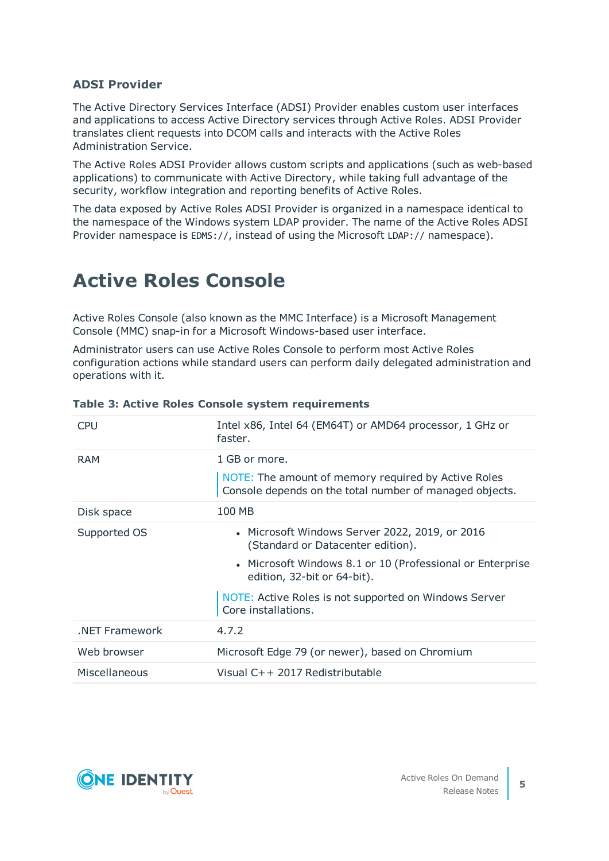### **ADSI Provider**

The Active Directory Services Interface (ADSI) Provider enables custom user interfaces and applications to access Active Directory services through Active Roles. ADSI Provider translates client requests into DCOM calls and interacts with the Active Roles Administration Service.

The Active Roles ADSI Provider allows custom scripts and applications (such as web-based applications) to communicate with Active Directory, while taking full advantage of the security, workflow integration and reporting benefits of Active Roles.

The data exposed by Active Roles ADSI Provider is organized in a namespace identical to the namespace of the Windows system LDAP provider. The name of the Active Roles ADSI Provider namespace is EDMS://, instead of using the Microsoft LDAP:// namespace).

## **Active Roles Console**

Active Roles Console (also known as the MMC Interface) is a Microsoft Management Console (MMC) snap-in for a Microsoft Windows-based user interface.

Administrator users can use Active Roles Console to perform most Active Roles configuration actions while standard users can perform daily delegated administration and operations with it.

| CPU            | Intel x86, Intel 64 (EM64T) or AMD64 processor, 1 GHz or<br>faster.                                            |
|----------------|----------------------------------------------------------------------------------------------------------------|
| <b>RAM</b>     | 1 GB or more.                                                                                                  |
|                | NOTE: The amount of memory required by Active Roles<br>Console depends on the total number of managed objects. |
| Disk space     | 100 MB                                                                                                         |
| Supported OS   | • Microsoft Windows Server 2022, 2019, or 2016<br>(Standard or Datacenter edition).                            |
|                | • Microsoft Windows 8.1 or 10 (Professional or Enterprise<br>edition, 32-bit or 64-bit).                       |
|                | NOTE: Active Roles is not supported on Windows Server<br>Core installations.                                   |
| .NET Framework | 4.7.2                                                                                                          |
| Web browser    | Microsoft Edge 79 (or newer), based on Chromium                                                                |
| Miscellaneous  | Visual C++ 2017 Redistributable                                                                                |

### **Table 3: Active Roles Console system requirements**

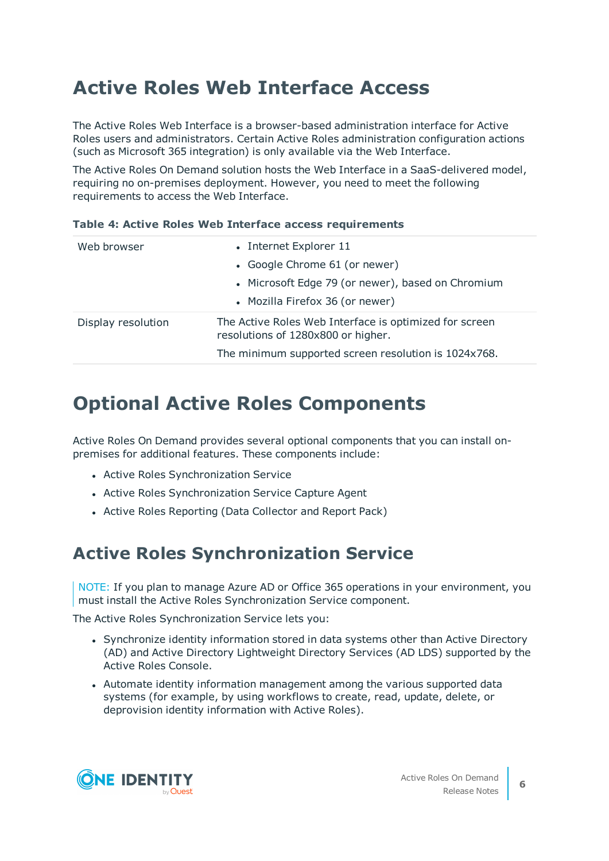## **Active Roles Web Interface Access**

The Active Roles Web Interface is a browser-based administration interface for Active Roles users and administrators. Certain Active Roles administration configuration actions (such as Microsoft 365 integration) is only available via the Web Interface.

The Active Roles On Demand solution hosts the Web Interface in a SaaS-delivered model, requiring no on-premises deployment. However, you need to meet the following requirements to access the Web Interface.

| Web browser        | • Internet Explorer 11                                                                       |
|--------------------|----------------------------------------------------------------------------------------------|
|                    | • Google Chrome 61 (or newer)                                                                |
|                    | • Microsoft Edge 79 (or newer), based on Chromium                                            |
|                    | • Mozilla Firefox 36 (or newer)                                                              |
| Display resolution | The Active Roles Web Interface is optimized for screen<br>resolutions of 1280x800 or higher. |
|                    | The minimum supported screen resolution is 1024x768.                                         |

### **Table 4: Active Roles Web Interface access requirements**

## **Optional Active Roles Components**

Active Roles On Demand provides several optional components that you can install onpremises for additional features. These components include:

- Active Roles Synchronization Service
- Active Roles Synchronization Service Capture Agent
- Active Roles Reporting (Data Collector and Report Pack)

### **Active Roles Synchronization Service**

NOTE: If you plan to manage Azure AD or Office 365 operations in your environment, you must install the Active Roles Synchronization Service component.

The Active Roles Synchronization Service lets you:

- Synchronize identity information stored in data systems other than Active Directory (AD) and Active Directory Lightweight Directory Services (AD LDS) supported by the Active Roles Console.
- Automate identity information management among the various supported data systems (for example, by using workflows to create, read, update, delete, or deprovision identity information with Active Roles).

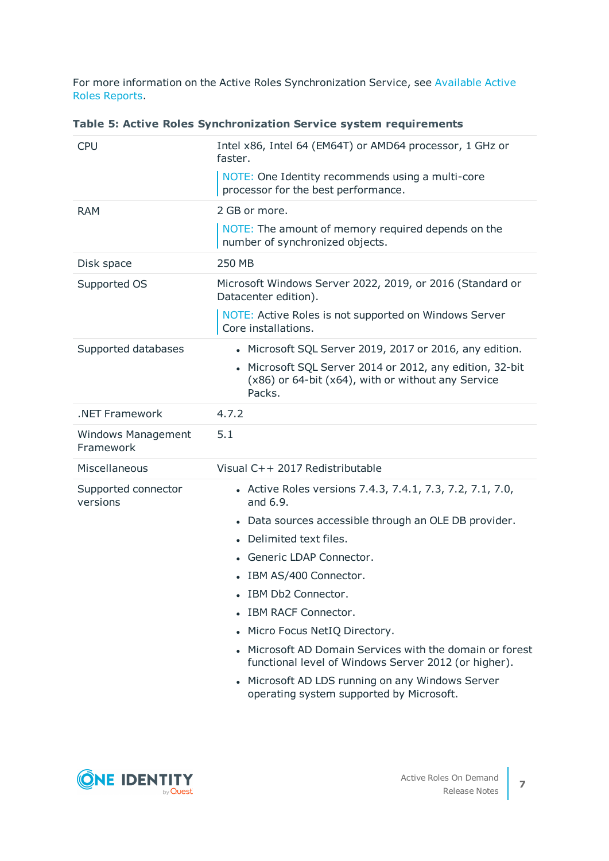For more information on the Active Roles Synchronization Service, see [Available](#page-9-0) Active Roles [Reports.](#page-9-0)

|  |  |  | Table 5: Active Roles Synchronization Service system requirements |  |  |  |
|--|--|--|-------------------------------------------------------------------|--|--|--|
|--|--|--|-------------------------------------------------------------------|--|--|--|

| <b>CPU</b>                             | Intel x86, Intel 64 (EM64T) or AMD64 processor, 1 GHz or<br>faster.                                                                 |
|----------------------------------------|-------------------------------------------------------------------------------------------------------------------------------------|
|                                        | NOTE: One Identity recommends using a multi-core<br>processor for the best performance.                                             |
| <b>RAM</b>                             | 2 GB or more.                                                                                                                       |
|                                        | NOTE: The amount of memory required depends on the<br>number of synchronized objects.                                               |
| Disk space                             | 250 MB                                                                                                                              |
| Supported OS                           | Microsoft Windows Server 2022, 2019, or 2016 (Standard or<br>Datacenter edition).                                                   |
|                                        | NOTE: Active Roles is not supported on Windows Server<br>Core installations.                                                        |
| Supported databases                    | • Microsoft SQL Server 2019, 2017 or 2016, any edition.                                                                             |
|                                        | Microsoft SQL Server 2014 or 2012, any edition, 32-bit<br>$\bullet$<br>(x86) or 64-bit (x64), with or without any Service<br>Packs. |
| .NET Framework                         | 4.7.2                                                                                                                               |
| <b>Windows Management</b><br>Framework | 5.1                                                                                                                                 |
| Miscellaneous                          | Visual C++ 2017 Redistributable                                                                                                     |
| Supported connector<br>versions        | • Active Roles versions 7.4.3, 7.4.1, 7.3, 7.2, 7.1, 7.0,<br>and 6.9.                                                               |
|                                        | Data sources accessible through an OLE DB provider.<br>$\bullet$                                                                    |
|                                        | Delimited text files.                                                                                                               |
|                                        | Generic LDAP Connector.                                                                                                             |
|                                        | IBM AS/400 Connector.                                                                                                               |
|                                        | IBM Db2 Connector.                                                                                                                  |
|                                        | IBM RACF Connector.                                                                                                                 |
|                                        | Micro Focus NetIQ Directory.                                                                                                        |
|                                        | Microsoft AD Domain Services with the domain or forest<br>functional level of Windows Server 2012 (or higher).                      |
|                                        | • Microsoft AD LDS running on any Windows Server<br>operating system supported by Microsoft.                                        |

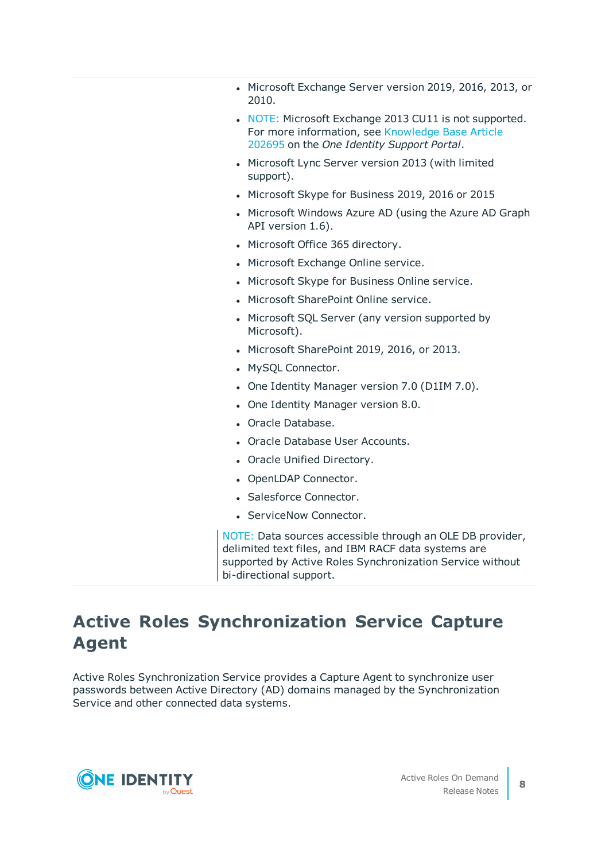- Microsoft Exchange Server version 2019, 2016, 2013, or 2010.
- NOTE: Microsoft Exchange 2013 CU11 is not supported. For more information, see [Knowledge](https://support.oneidentity.com/active-roles/kb/202695/exchange-management-shell-and-mailbox-anchoring-functional-change-in-microsoft-exchange-2013-cu11) Base Article [202695](https://support.oneidentity.com/active-roles/kb/202695/exchange-management-shell-and-mailbox-anchoring-functional-change-in-microsoft-exchange-2013-cu11) on the *One Identity Support Portal*.
- Microsoft Lync Server version 2013 (with limited support).
- Microsoft Skype for Business 2019, 2016 or 2015
- Microsoft Windows Azure AD (using the Azure AD Graph API version 1.6).
- Microsoft Office 365 directory.
- Microsoft Exchange Online service.
- Microsoft Skype for Business Online service.
- Microsoft SharePoint Online service.
- Microsoft SQL Server (any version supported by Microsoft).
- Microsoft SharePoint 2019, 2016, or 2013.
- MySQL Connector.
- One Identity Manager version 7.0 (D1IM 7.0).
- One Identity Manager version 8.0.
- Oracle Database.
- Oracle Database User Accounts.
- Oracle Unified Directory.
- OpenLDAP Connector.
- Salesforce Connector.
- ServiceNow Connector.

NOTE: Data sources accessible through an OLE DB provider, delimited text files, and IBM RACF data systems are supported by Active Roles Synchronization Service without bi-directional support.

## **Active Roles Synchronization Service Capture Agent**

Active Roles Synchronization Service provides a Capture Agent to synchronize user passwords between Active Directory (AD) domains managed by the Synchronization Service and other connected data systems.

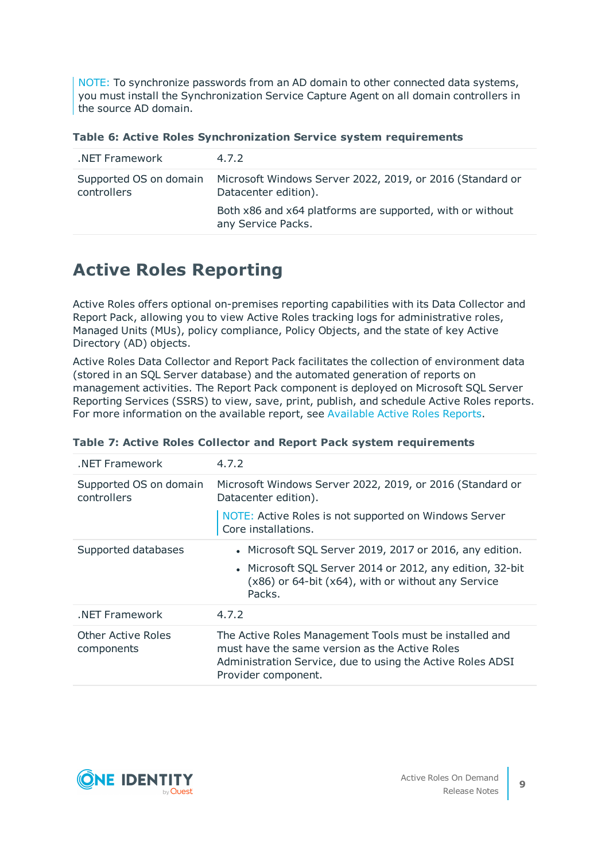NOTE: To synchronize passwords from an AD domain to other connected data systems, you must install the Synchronization Service Capture Agent on all domain controllers in the source AD domain.

| .NET Framework | 4.7.2                                                                                                    |
|----------------|----------------------------------------------------------------------------------------------------------|
| controllers    | Supported OS on domain Microsoft Windows Server 2022, 2019, or 2016 (Standard or<br>Datacenter edition). |
|                | Both x86 and x64 platforms are supported, with or without<br>any Service Packs.                          |

## **Active Roles Reporting**

Active Roles offers optional on-premises reporting capabilities with its Data Collector and Report Pack, allowing you to view Active Roles tracking logs for administrative roles, Managed Units (MUs), policy compliance, Policy Objects, and the state of key Active Directory (AD) objects.

Active Roles Data Collector and Report Pack facilitates the collection of environment data (stored in an SQL Server database) and the automated generation of reports on management activities. The Report Pack component is deployed on Microsoft SQL Server Reporting Services (SSRS) to view, save, print, publish, and schedule Active Roles reports. For more information on the available report, see [Available](#page-9-0) Active Roles Reports.

| NET Framework                           | 4.7.2                                                                                                                                                                                          |
|-----------------------------------------|------------------------------------------------------------------------------------------------------------------------------------------------------------------------------------------------|
| Supported OS on domain<br>controllers   | Microsoft Windows Server 2022, 2019, or 2016 (Standard or<br>Datacenter edition).                                                                                                              |
|                                         | NOTE: Active Roles is not supported on Windows Server<br>Core installations.                                                                                                                   |
| Supported databases                     | • Microsoft SQL Server 2019, 2017 or 2016, any edition.                                                                                                                                        |
|                                         | • Microsoft SQL Server 2014 or 2012, any edition, 32-bit<br>$(x86)$ or 64-bit $(x64)$ , with or without any Service<br>Packs.                                                                  |
| NET Framework                           | 4.7.2                                                                                                                                                                                          |
| <b>Other Active Roles</b><br>components | The Active Roles Management Tools must be installed and<br>must have the same version as the Active Roles<br>Administration Service, due to using the Active Roles ADSI<br>Provider component. |

### **Table 7: Active Roles Collector and Report Pack system requirements**

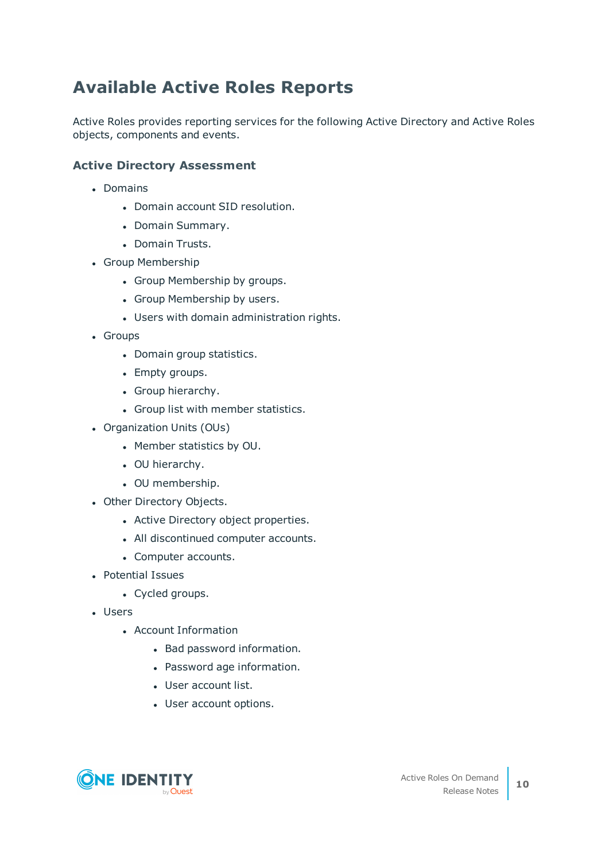## <span id="page-9-0"></span>**Available Active Roles Reports**

Active Roles provides reporting services for the following Active Directory and Active Roles objects, components and events.

### **Active Directory Assessment**

- Domains
	- Domain account SID resolution.
	- Domain Summary.
	- Domain Trusts.
- Group Membership
	- Group Membership by groups.
	- Group Membership by users.
	- Users with domain administration rights.
- Groups
	- Domain group statistics.
	- Empty groups.
	- Group hierarchy.
	- Group list with member statistics.
- Organization Units (OUs)
	- Member statistics by OU.
	- OU hierarchy.
	- OU membership.
- Other Directory Objects.
	- Active Directory object properties.
	- All discontinued computer accounts.
	- Computer accounts.
- Potential Issues
	- Cycled groups.
- <sup>l</sup> Users
	- Account Information
		- Bad password information.
		- Password age information.
		- User account list.
		- User account options.

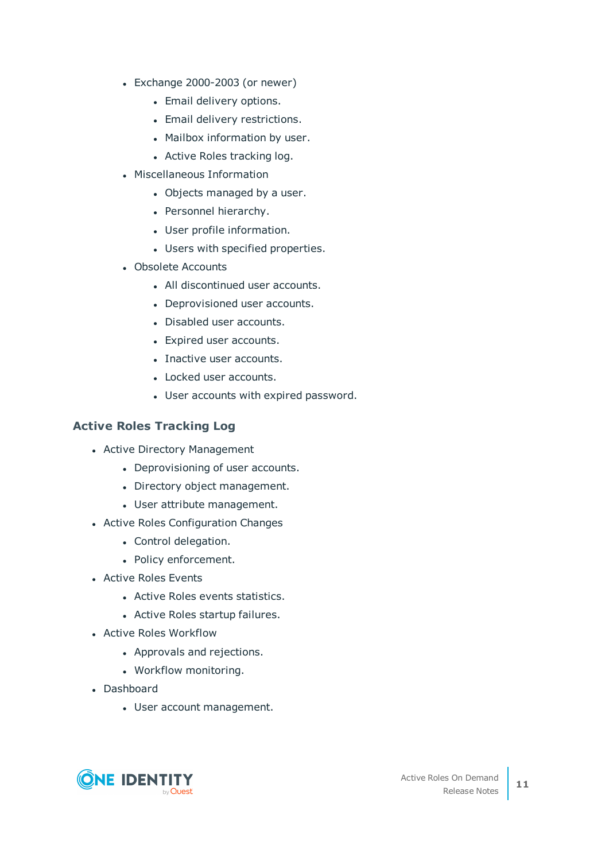- $\cdot$  Exchange 2000-2003 (or newer)
	- Email delivery options.
	- Email delivery restrictions.
	- Mailbox information by user.
	- Active Roles tracking log.
- Miscellaneous Information
	- Objects managed by a user.
	- Personnel hierarchy.
	- User profile information.
	- Users with specified properties.
- Obsolete Accounts
	- All discontinued user accounts.
	- Deprovisioned user accounts.
	- Disabled user accounts.
	- Expired user accounts.
	- Inactive user accounts.
	- Locked user accounts.
	- User accounts with expired password.

### **Active Roles Tracking Log**

- Active Directory Management
	- Deprovisioning of user accounts.
	- Directory object management.
	- User attribute management.
- Active Roles Configuration Changes
	- Control delegation.
	- Policy enforcement.
- Active Roles Events
	- Active Roles events statistics.
	- Active Roles startup failures.
- Active Roles Workflow
	- Approvals and rejections.
	- Workflow monitoring.
- Dashboard
	- User account management.

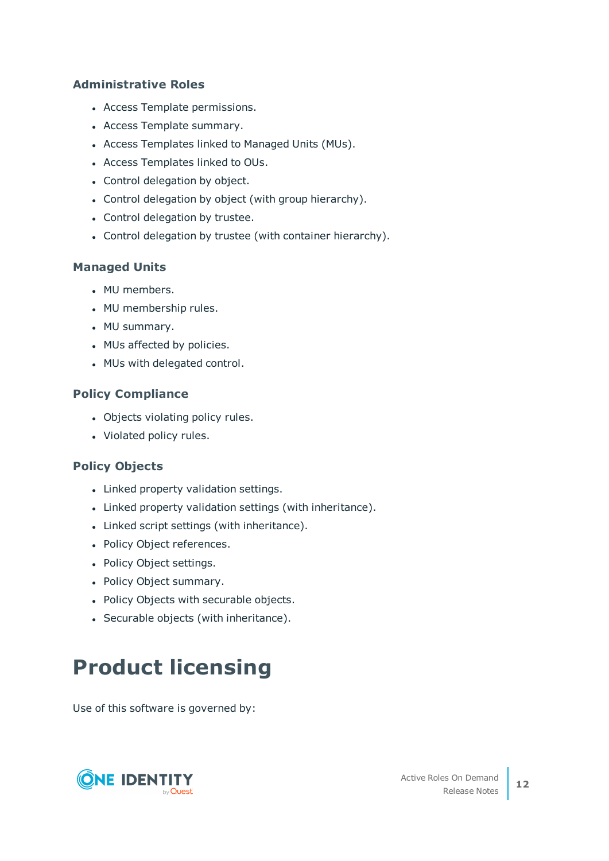### **Administrative Roles**

- Access Template permissions.
- Access Template summary.
- Access Templates linked to Managed Units (MUs).
- Access Templates linked to OUs.
- Control delegation by object.
- Control delegation by object (with group hierarchy).
- Control delegation by trustee.
- Control delegation by trustee (with container hierarchy).

### **Managed Units**

- MU members.
- MU membership rules.
- MU summary.
- MUs affected by policies.
- MUs with delegated control.

### **Policy Compliance**

- Objects violating policy rules.
- Violated policy rules.

### **Policy Objects**

- Linked property validation settings.
- Linked property validation settings (with inheritance).
- Linked script settings (with inheritance).
- Policy Object references.
- Policy Object settings.
- Policy Object summary.
- Policy Objects with securable objects.
- Securable objects (with inheritance).

# **Product licensing**

Use of this software is governed by:

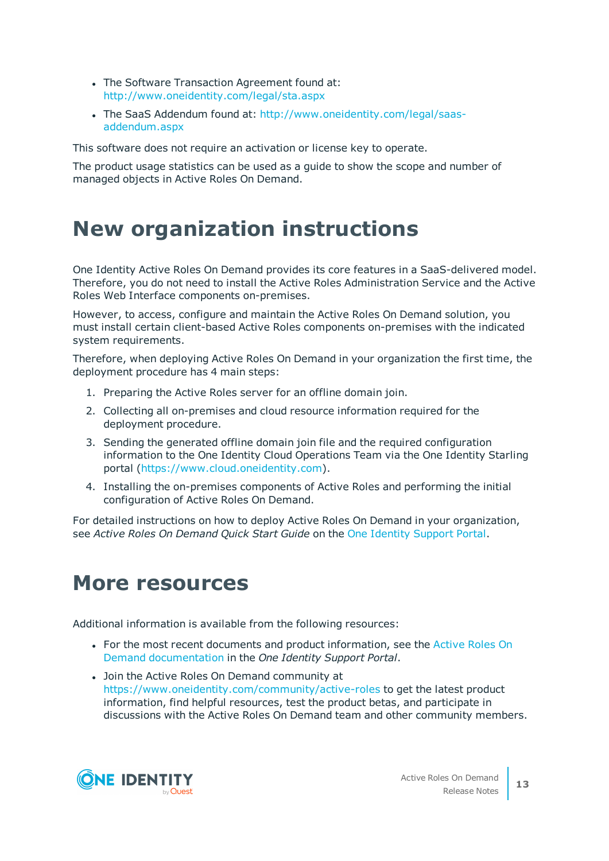- The Software Transaction Agreement found at: <http://www.oneidentity.com/legal/sta.aspx>
- The SaaS Addendum found at: [http://www.oneidentity.com/legal/saas](http://www.oneidentity.com/legal/saas-addendum.aspx)[addendum.aspx](http://www.oneidentity.com/legal/saas-addendum.aspx)

This software does not require an activation or license key to operate.

The product usage statistics can be used as a guide to show the scope and number of managed objects in Active Roles On Demand.

# **New organization instructions**

One Identity Active Roles On Demand provides its core features in a SaaS-delivered model. Therefore, you do not need to install the Active Roles Administration Service and the Active Roles Web Interface components on-premises.

However, to access, configure and maintain the Active Roles On Demand solution, you must install certain client-based Active Roles components on-premises with the indicated system requirements.

Therefore, when deploying Active Roles On Demand in your organization the first time, the deployment procedure has 4 main steps:

- 1. Preparing the Active Roles server for an offline domain join.
- 2. Collecting all on-premises and cloud resource information required for the deployment procedure.
- 3. Sending the generated offline domain join file and the required configuration information to the One Identity Cloud Operations Team via the One Identity Starling portal [\(https://www.cloud.oneidentity.com](https://www.cloud.oneidentity.com/)).
- 4. Installing the on-premises components of Active Roles and performing the initial configuration of Active Roles On Demand.

For detailed instructions on how to deploy Active Roles On Demand in your organization, see *Active Roles On Demand Quick Start Guide* on the One Identity [Support](https://support.oneidentity.com/active-roles-on-demand/hosted/technical-documents) Portal.

## **More resources**

Additional information is available from the following resources:

- For the most recent documents and product information, see the [Active](https://support.oneidentity.com/active-roles-on-demand/hosted/technical-documents) Roles On Demand [documentation](https://support.oneidentity.com/active-roles-on-demand/hosted/technical-documents) in the *One Identity Support Portal*.
- Join the Active Roles On Demand community at <https://www.oneidentity.com/community/active-roles> to get the latest product information, find helpful resources, test the product betas, and participate in discussions with the Active Roles On Demand team and other community members.

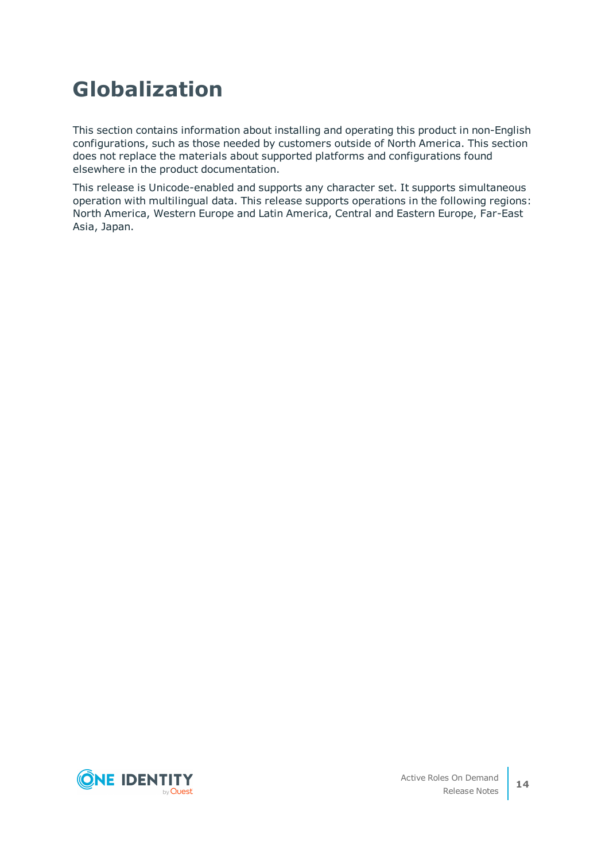# **Globalization**

This section contains information about installing and operating this product in non-English configurations, such as those needed by customers outside of North America. This section does not replace the materials about supported platforms and configurations found elsewhere in the product documentation.

This release is Unicode-enabled and supports any character set. It supports simultaneous operation with multilingual data. This release supports operations in the following regions: North America, Western Europe and Latin America, Central and Eastern Europe, Far-East Asia, Japan.

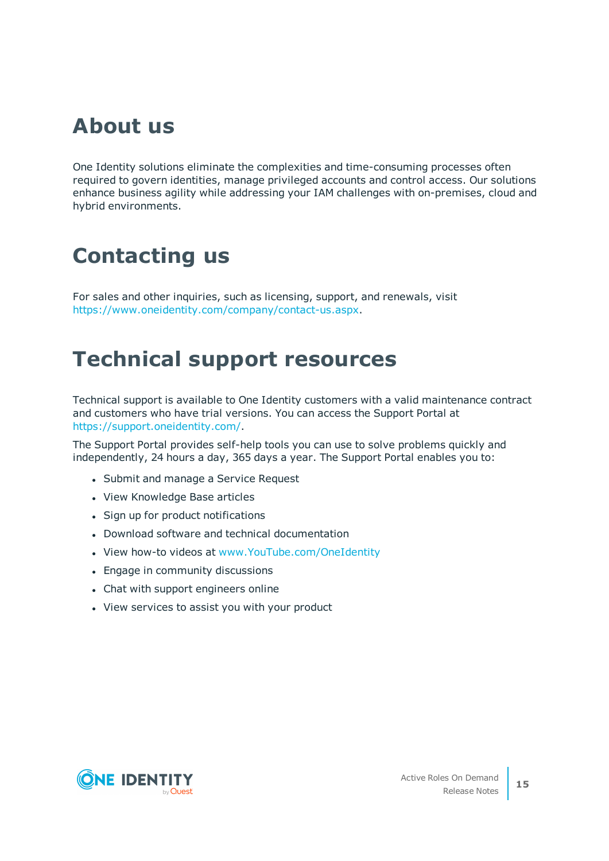# **About us**

One Identity solutions eliminate the complexities and time-consuming processes often required to govern identities, manage privileged accounts and control access. Our solutions enhance business agility while addressing your IAM challenges with on-premises, cloud and hybrid environments.

# **Contacting us**

For sales and other inquiries, such as licensing, support, and renewals, visit <https://www.oneidentity.com/company/contact-us.aspx>.

# **Technical support resources**

Technical support is available to One Identity customers with a valid maintenance contract and customers who have trial versions. You can access the Support Portal at [https://support.oneidentity.com/.](https://support.oneidentity.com/)

The Support Portal provides self-help tools you can use to solve problems quickly and independently, 24 hours a day, 365 days a year. The Support Portal enables you to:

- Submit and manage a Service Request
- View Knowledge Base articles
- Sign up for product notifications
- Download software and technical documentation
- View how-to videos at [www.YouTube.com/OneIdentity](http://www.youtube.com/OneIdentity)
- Engage in community discussions
- Chat with support engineers online
- View services to assist you with your product